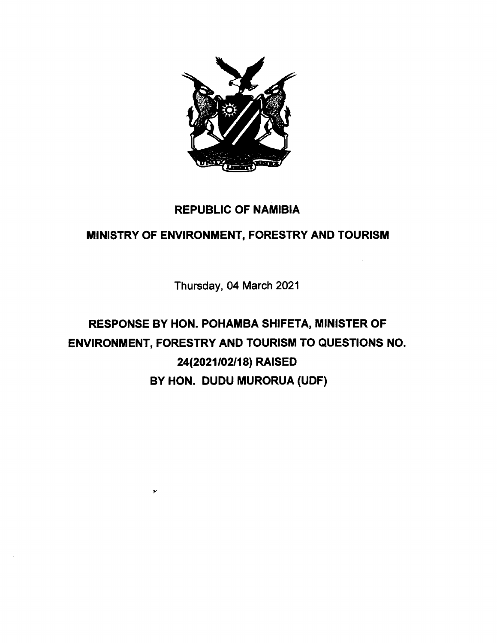

## REPUBLIC OF NAMIBIA

## MINISTRY OF ENVIRONMENT, FORESTRY AND TOURISM

Thursday, 04 March 2021

# RESPONSE BY HON. POHAMBA SHIFETA, MINISTER OF ENVIRONMENT, FORESTRY AND TOURISM TO QUESTIONS NO. *24(2021/02/18)* RAISED BY HON. DUDU MURORUA (UDF)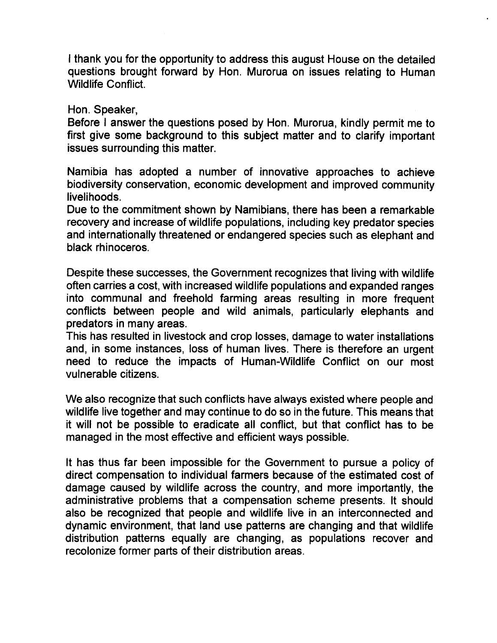I thank you for the opportunity to address this august House on the detailed questions brought forward by Hon. Murorua on issues relating to Human Wildlife Conflict.

Hon. Speaker,

Before I answer the questions posed by Hon. Murorua, kindly permit me to first give some background to this subject matter and to clarify important issues surrounding this matter.

Namibia has adopted a number of innovative approaches to achieve biodiversity conservation, economic development and improved community livelihoods.

Due to the commitment shown by Namibians, there has been a remarkable recovery and increase of wildlife populations, including key predator species and internationally threatened or endangered species such as elephant and black rhinoceros.

Despite these successes, the Government recognizes that living with wildlife often carries a cost, with increased wildlife populations and expanded ranges into communal and freehold farming areas resulting in more frequent conflicts between people and wild animals, particularly elephants and predators in many areas.

This has resulted in livestock and crop losses, damage to water installations and, in some instances, loss of human lives. There is therefore an urgent need to reduce the impacts of Human-Wildlife Conflict on our most vulnerable citizens.

We also recognize that such conflicts have always existed where people and wildlife live together and may continue to do so in the future. This means that it will not be possible to eradicate all conflict, but that conflict has to be managed in the most effective and efficient ways possible.

It has thus far been impossible for the Government to pursue a policy of direct compensation to individual farmers because of the estimated cost of damage caused by wildlife across the country, and more importantly, the administrative problems that a compensation scheme presents. It should also be recognized that people and wildlife live in an interconnected and dynamic environment, that land use patterns are changing and that wildlife distribution patterns equally are changing, as populations recover and recolonize former parts of their distribution areas.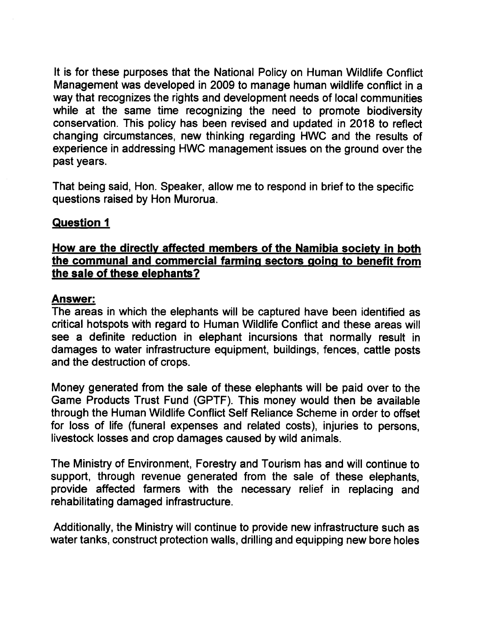It is for these purposes that the National Policy on Human Wildlife Conflict Management was developed in 2009 to manage human wildlife conflict in a way that recognizes the rights and development needs of local communities while at the same time recognizing the need to promote biodiversity conservation. This policy has been revised and updated in 2018 to reflect changing circumstances, new thinking regarding HWC and the results of experience in addressing HWC management issues on the ground over the past years.

That being said, Hon. Speaker, allow me to respond in brief to the specific questions raised by Hon Murorua.

#### **Question 1**

#### **How are the directly affected members of the Namibia society in both the communal and commercial farming sectors going to benefit from the sale of these elephants?**

#### **Answer:**

The areas in which the elephants will be captured have been identified as critical hotspots with regard to Human Wildlife Conflict and these areas will see a definite reduction in elephant incursions that normally result in damages to water infrastructure equipment, buildings, fences, cattle posts and the destruction of crops.

Money generated from the sale of these elephants will be paid over to the Game Products Trust Fund (GPTF). This money would then be available through the Human Wildlife Conflict Self Reliance Scheme in order to offset for loss of life (funeral expenses and related costs), injuries to persons, livestock losses and crop damages caused by wild animals.

The Ministry of Environment, Forestry and Tourism has and will continue to support, through revenue generated from the sale of these elephants. provide affected farmers with the necessary relief in replacing and rehabilitating damaged infrastructure.

Additionally, the Ministry will continue to provide new infrastructure such as water tanks, construct protection walls, drilling and equipping new bore holes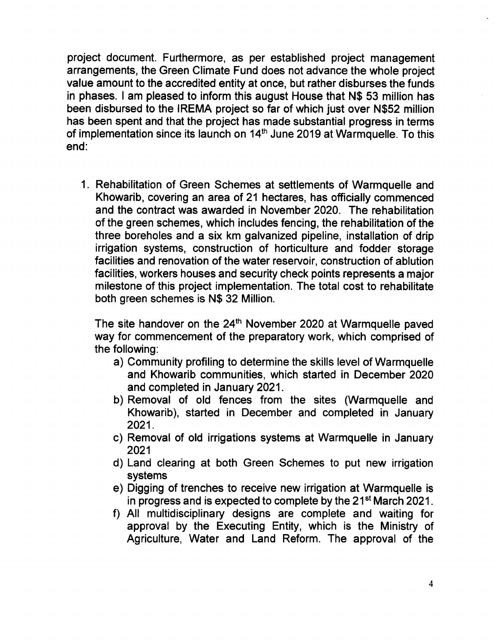project document. Furthermore, as per established project management arrangements, the Green Climate Fund does not advance the whole project value amount to the accredited entity at once, but rather disburses the funds in phases. I am pleased to inform this august House that N\$ 53 million has been disbursed to the IREMA project so far of which just over N\$52 million has been spent and that the project has made substantial progress in terms of implementation since its launch on 14<sup>th</sup> June 2019 at Warmquelle. To this end:

1. Rehabilitation of Green Schemes at settlements of Warmquelle and Khowarib, covering an area of 21 hectares, has officially commenced and the contract was awarded in November 2020. The rehabilitation of the green schemes, which includes fencing, the rehabilitation of the three boreholes and a six km galvanized pipeline, installation of drip irrigation systems, construction of horticulture and fodder storage facilities and renovation of the water reservoir, construction of ablution facilities, workers houses and security check points represents a major milestone of this project implementation. The total cost to rehabilitate both green schemes is N\$ 32 Million.

The site handover on the 24<sup>th</sup> November 2020 at Warmquelle paved way for commencement of the preparatory work, which comprised of the following:

- a) Community profiling to determine the skills level of Warmquelle and Khowarib communities, which started in December 2020 and completed in January 2021.
- b) Removal of old fences from the sites (Warmquelle and Khowarib), started in December and completed in January 2021.
- c) Removal of old irrigations systems at Warmquelle in January 2021
- d) Land clearing at both Green Schemes to put new irrigation systems
- e) Digging of trenches to receive new irrigation at Warmquelle is in progress and is expected to complete by the  $21^{st}$  March 2021.
- f) All multidisciplinary designs are complete and waiting for approval by the Executing Entity, which is the Ministry of Agriculture, Water and Land Reform. The approval of the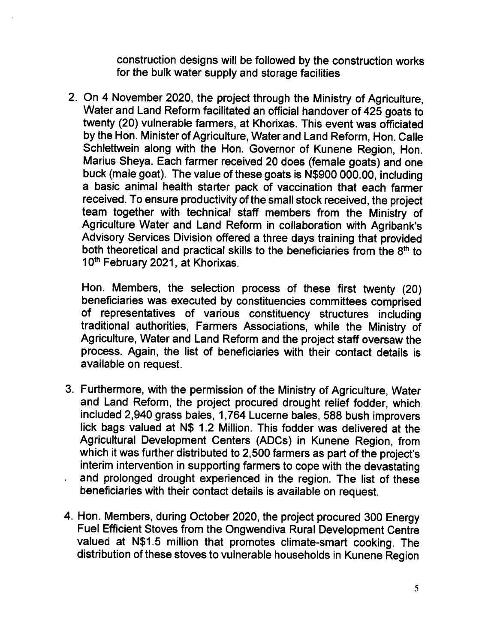construction designs will be followed by the construction works for the bulk water supply and storage facilities

2. On 4 November 2020, the project through the Ministry of Agriculture, Water and Land Reform facilitated an official handover of 425 goats to twenty (20) vulnerable farmers, at Khorixas. This event was officiated by the Hon. Minister of Agriculture, Water and Land Reform, Hon. Calle Schlettwein along with the Hon. Governor of Kunene Region, Hon. Marius Sheya. Each farmer received 20 does (female goats) and one buck (male goat). The value of these goats is N\$900 000.00, including a basic animal health starter pack of vaccination that each farmer received. To ensure productivity of the small stock received, the project team together with technical staff members from the Ministry of Agriculture Water and Land Reform in collaboration with Agribank's Advisory Services Division offered a three days training that provided both theoretical and practical skills to the beneficiaries from the  $8<sup>th</sup>$  to 10<sup>th</sup> February 2021, at Khorixas.

Hon. Members, the selection process of these first twenty (20) beneficiaries was executed by constituencies committees comprised of representatives of various constituency structures including traditional authorities, Farmers Associations, while the Ministry of Agriculture, Water and Land Reform and the project staff oversaw the process. Again, the list of beneficiaries with their contact details is available on request.

- 3. Furthermore, with the permission of the Ministry of Agriculture, Water and Land Reform, the project procured drought relief fodder, which included 2,940 grass bales, 1,764 Lucerne bales, 588 bush improvers lick bags valued at N\$ 1.2 Million. This fodder was delivered at the Agricultural Development Centers (ADCs) in Kunene Region, from which it was further distributed to 2,500 farmers as part of the project's interim intervention in supporting farmers to cope with the devastating and prolonged drought experienced in the region. The list of these beneficiaries with their contact details is available on request.
- 4. Hon. Members, during October 2020, the project procured 300 Energy Fuel Efficient Stoves from the Ongwendiva Rural Development Centre valued at N\$1.5 million that promotes climate-smart cooking. The distribution of these stoves to vulnerable households in Kunene Region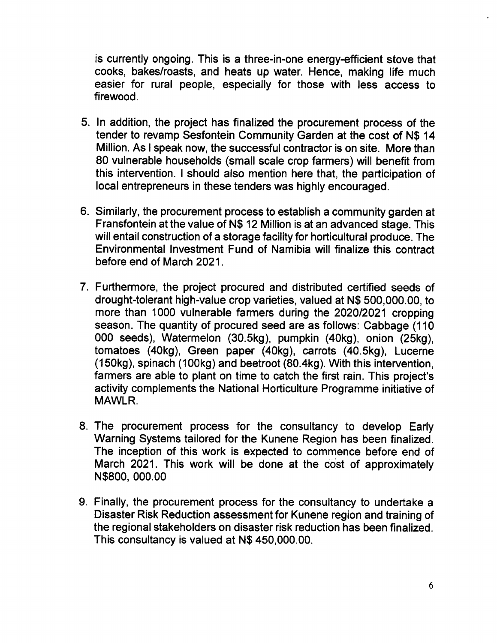is currently ongoing. This is a three-in-one energy-efficient stove that cooks, bakes/roasts, and heats up water. Hence, making life much easier for rural people, especially for those with less access to firewood.

- 5. In addition, the project has finalized the procurement process of the tender to revamp Sesfontein Community Garden at the cost of N\$ 14 Million. As I speak now, the successful contractor is on site. More than 80 vulnerable households (small scale crop farmers) will benefit from this intervention. I should also mention here that, the participation of local entrepreneurs in these tenders was highly encouraged.
- 6. Similarly, the procurement process to establish a community garden at Fransfontein at the value of N\$ 12 Million is at an advanced stage. This will entail construction of a storage facility for horticultural produce. The Environmental Investment Fund of Namibia will finalize this contract before end of March 2021.
- 7. Furthermore, the project procured and distributed certified seeds of drought-tolerant high-value crop varieties, valued at N\$ 500,000.00, to more than 1000 vulnerable farmers during the *2020/2021* cropping season. The quantity of procured seed are as follows: Cabbage (110 000 seeds), Watermelon (30.5kg), pumpkin (40kg), onion (25kg), tomatoes (40kg), Green paper (40kg), carrots (40.5kg), Lucerne (150kg), spinach (100kg) and beetroot (80.4kg). With this intervention, farmers are able to plant on time to catch the first rain. This project's activity complements the National Horticulture Programme initiative of MAWLR.
- 8. The procurement process for the consultancy to develop Early Warning Systems tailored for the Kunene Region has been finalized. The inception of this work is expected to commence before end of March 2021. This work will be done at the cost of approximately N\$800, 000.00
- 9. Finally, the procurement process for the consultancy to undertake a Disaster Risk Reduction assessment for Kunene region and training of the regional stakeholders on disaster risk reduction has been finalized. This consultancy is valued at N\$ 450,000.00.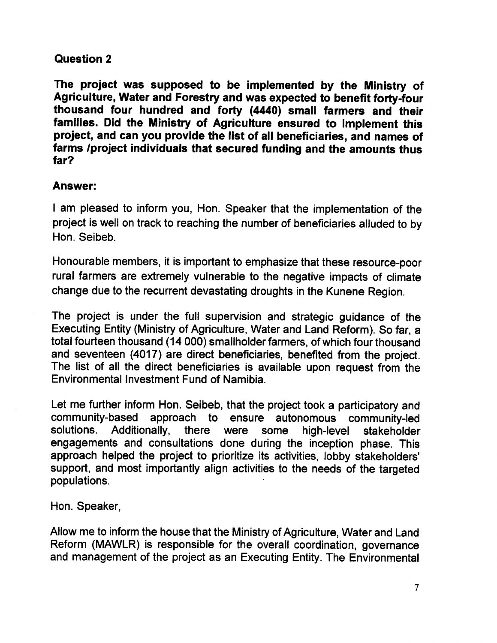### Question 2

The project was supposed to be implemented by the Ministry of Agriculture, Water and Forestry and was expected to benefit forty-four thousand four hundred and forty (4440) small farmers and their families. Did the Ministry of Agriculture ensured to implement this project, and can you provide the list of all beneficiaries, and names of farms /project individuals that secured funding and the amounts thus far?

### Answer:

I am pleased to inform you, Hon. Speaker that the implementation of the project is well on track to reaching the number of beneficiaries alluded to by Hon. Seibeb.

Honourable members, it is important to emphasize that these resource-poor rural farmers are extremely vulnerable to the negative impacts of climate change due to the recurrent devastating droughts in the Kunene Region.

The project is under the full supervision and strategic guidance of the Executing Entity (Ministry of Agriculture, Water and Land Reform). So far, a total fourteen thousand (14 000) smallholder farmers, of which four thousand and seventeen (4017) are direct beneficiaries, benefited from the project. The list of all the direct beneficiaries is available upon request from the Environmental Investment Fund of Namibia.

Let me further inform Hon. Seibeb, that the project took a participatory and community-based approach to ensure autonomous community-led solutions. Additionally, there were some high-level stakeholder engagements and consultations done during the inception phase. This approach helped the project to prioritize its activities, lobby stakeholders' support, and most importantly align activities to the needs of the targeted populations.

Hon. Speaker,

Allow me to inform the house that the Ministry of Agriculture, Water and Land Reform (MAWLR) is responsible for the overall coordination, governance and management of the project as an Executing Entity. The Environmental